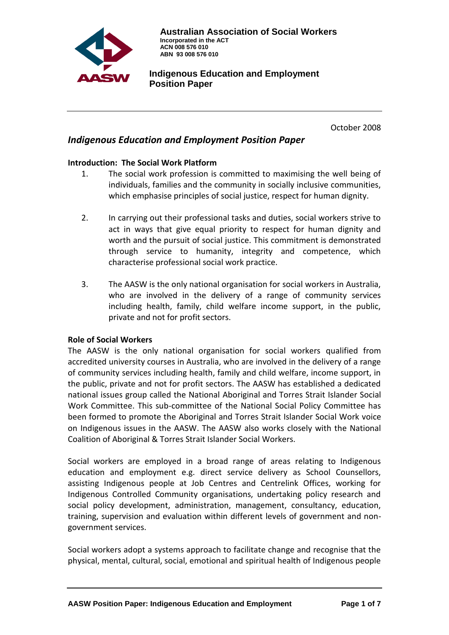

**Australian Association of Social Workers Incorporated in the ACT ACN 008 576 010 ABN 93 008 576 010**

**Indigenous Education and Employment Position Paper**

October 2008

# *Indigenous Education and Employment Position Paper*

### **Introduction: The Social Work Platform**

- 1. The social work profession is committed to maximising the well being of individuals, families and the community in socially inclusive communities, which emphasise principles of social justice, respect for human dignity.
- 2. In carrying out their professional tasks and duties, social workers strive to act in ways that give equal priority to respect for human dignity and worth and the pursuit of social justice. This commitment is demonstrated through service to humanity, integrity and competence, which characterise professional social work practice.
- 3. The AASW is the only national organisation for social workers in Australia, who are involved in the delivery of a range of community services including health, family, child welfare income support, in the public, private and not for profit sectors.

#### **Role of Social Workers**

The AASW is the only national organisation for social workers qualified from accredited university courses in Australia, who are involved in the delivery of a range of community services including health, family and child welfare, income support, in the public, private and not for profit sectors. The AASW has established a dedicated national issues group called the National Aboriginal and Torres Strait Islander Social Work Committee. This sub-committee of the National Social Policy Committee has been formed to promote the Aboriginal and Torres Strait Islander Social Work voice on Indigenous issues in the AASW. The AASW also works closely with the National Coalition of Aboriginal & Torres Strait Islander Social Workers.

Social workers are employed in a broad range of areas relating to Indigenous education and employment e.g. direct service delivery as School Counsellors, assisting Indigenous people at Job Centres and Centrelink Offices, working for Indigenous Controlled Community organisations, undertaking policy research and social policy development, administration, management, consultancy, education, training, supervision and evaluation within different levels of government and nongovernment services.

Social workers adopt a systems approach to facilitate change and recognise that the physical, mental, cultural, social, emotional and spiritual health of Indigenous people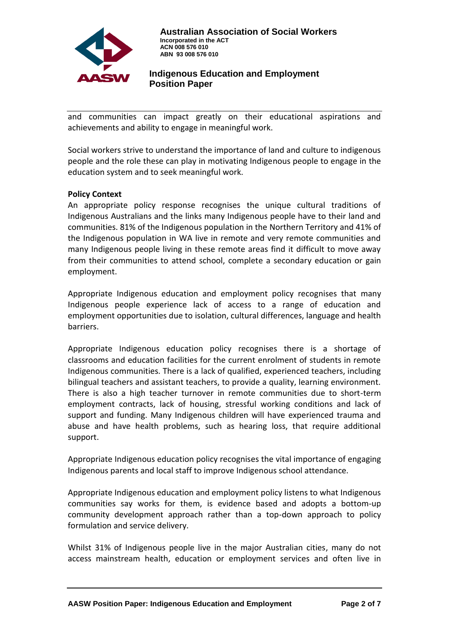

and communities can impact greatly on their educational aspirations and achievements and ability to engage in meaningful work.

Social workers strive to understand the importance of land and culture to indigenous people and the role these can play in motivating Indigenous people to engage in the education system and to seek meaningful work.

### **Policy Context**

An appropriate policy response recognises the unique cultural traditions of Indigenous Australians and the links many Indigenous people have to their land and communities. 81% of the Indigenous population in the Northern Territory and 41% of the Indigenous population in WA live in remote and very remote communities and many Indigenous people living in these remote areas find it difficult to move away from their communities to attend school, complete a secondary education or gain employment.

Appropriate Indigenous education and employment policy recognises that many Indigenous people experience lack of access to a range of education and employment opportunities due to isolation, cultural differences, language and health barriers.

Appropriate Indigenous education policy recognises there is a shortage of classrooms and education facilities for the current enrolment of students in remote Indigenous communities. There is a lack of qualified, experienced teachers, including bilingual teachers and assistant teachers, to provide a quality, learning environment. There is also a high teacher turnover in remote communities due to short-term employment contracts, lack of housing, stressful working conditions and lack of support and funding. Many Indigenous children will have experienced trauma and abuse and have health problems, such as hearing loss, that require additional support.

Appropriate Indigenous education policy recognises the vital importance of engaging Indigenous parents and local staff to improve Indigenous school attendance.

Appropriate Indigenous education and employment policy listens to what Indigenous communities say works for them, is evidence based and adopts a bottom-up community development approach rather than a top-down approach to policy formulation and service delivery.

Whilst 31% of Indigenous people live in the major Australian cities, many do not access mainstream health, education or employment services and often live in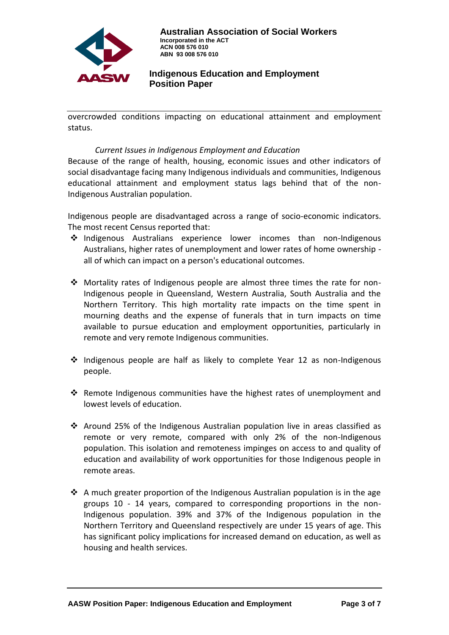

overcrowded conditions impacting on educational attainment and employment status.

#### *Current Issues in Indigenous Employment and Education*

Because of the range of health, housing, economic issues and other indicators of social disadvantage facing many Indigenous individuals and communities, Indigenous educational attainment and employment status lags behind that of the non-Indigenous Australian population.

Indigenous people are disadvantaged across a range of socio-economic indicators. The most recent Census reported that:

- $\div$  Indigenous Australians experience lower incomes than non-Indigenous Australians, higher rates of unemployment and lower rates of home ownership all of which can impact on a person's educational outcomes.
- \* Mortality rates of Indigenous people are almost three times the rate for non-Indigenous people in Queensland, Western Australia, South Australia and the Northern Territory. This high mortality rate impacts on the time spent in mourning deaths and the expense of funerals that in turn impacts on time available to pursue education and employment opportunities, particularly in remote and very remote Indigenous communities.
- ❖ Indigenous people are half as likely to complete Year 12 as non-Indigenous people.
- \* Remote Indigenous communities have the highest rates of unemployment and lowest levels of education.
- $\cdot$  Around 25% of the Indigenous Australian population live in areas classified as remote or very remote, compared with only 2% of the non-Indigenous population. This isolation and remoteness impinges on access to and quality of education and availability of work opportunities for those Indigenous people in remote areas.
- A much greater proportion of the Indigenous Australian population is in the age groups 10 - 14 years, compared to corresponding proportions in the non-Indigenous population. 39% and 37% of the Indigenous population in the Northern Territory and Queensland respectively are under 15 years of age. This has significant policy implications for increased demand on education, as well as housing and health services.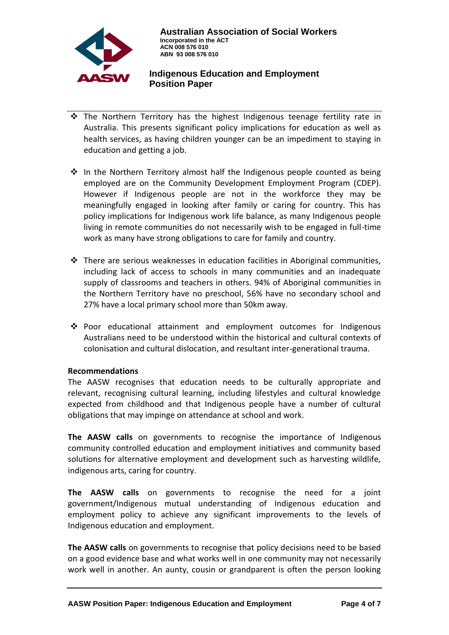

- \* The Northern Territory has the highest Indigenous teenage fertility rate in Australia. This presents significant policy implications for education as well as health services, as having children younger can be an impediment to staying in education and getting a job.
- $\cdot$  In the Northern Territory almost half the Indigenous people counted as being employed are on the Community Development Employment Program (CDEP). However if Indigenous people are not in the workforce they may be meaningfully engaged in looking after family or caring for country. This has policy implications for Indigenous work life balance, as many Indigenous people living in remote communities do not necessarily wish to be engaged in full-time work as many have strong obligations to care for family and country.
- $\div$  There are serious weaknesses in education facilities in Aboriginal communities, including lack of access to schools in many communities and an inadequate supply of classrooms and teachers in others. 94% of Aboriginal communities in the Northern Territory have no preschool, 56% have no secondary school and 27% have a local primary school more than 50km away.
- $\div$  Poor educational attainment and employment outcomes for Indigenous Australians need to be understood within the historical and cultural contexts of colonisation and cultural dislocation, and resultant inter-generational trauma.

### **Recommendations**

The AASW recognises that education needs to be culturally appropriate and relevant, recognising cultural learning, including lifestyles and cultural knowledge expected from childhood and that Indigenous people have a number of cultural obligations that may impinge on attendance at school and work.

**The AASW calls** on governments to recognise the importance of Indigenous community controlled education and employment initiatives and community based solutions for alternative employment and development such as harvesting wildlife, indigenous arts, caring for country.

**The AASW calls** on governments to recognise the need for a joint government/Indigenous mutual understanding of Indigenous education and employment policy to achieve any significant improvements to the levels of Indigenous education and employment.

**The AASW calls** on governments to recognise that policy decisions need to be based on a good evidence base and what works well in one community may not necessarily work well in another. An aunty, cousin or grandparent is often the person looking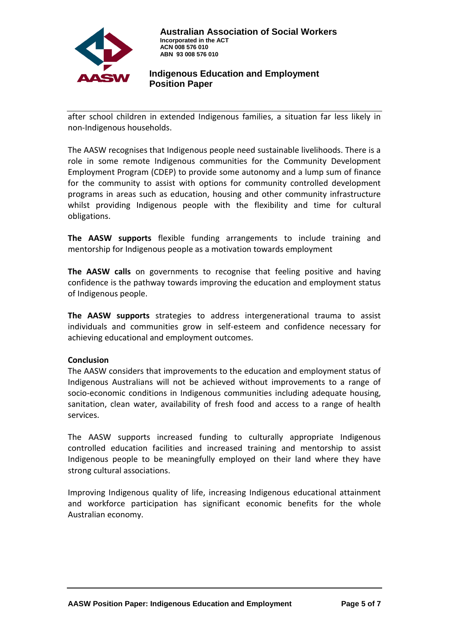

after school children in extended Indigenous families, a situation far less likely in non-Indigenous households.

The AASW recognises that Indigenous people need sustainable livelihoods. There is a role in some remote Indigenous communities for the Community Development Employment Program (CDEP) to provide some autonomy and a lump sum of finance for the community to assist with options for community controlled development programs in areas such as education, housing and other community infrastructure whilst providing Indigenous people with the flexibility and time for cultural obligations.

**The AASW supports** flexible funding arrangements to include training and mentorship for Indigenous people as a motivation towards employment

**The AASW calls** on governments to recognise that feeling positive and having confidence is the pathway towards improving the education and employment status of Indigenous people.

**The AASW supports** strategies to address intergenerational trauma to assist individuals and communities grow in self-esteem and confidence necessary for achieving educational and employment outcomes.

#### **Conclusion**

The AASW considers that improvements to the education and employment status of Indigenous Australians will not be achieved without improvements to a range of socio-economic conditions in Indigenous communities including adequate housing, sanitation, clean water, availability of fresh food and access to a range of health services.

The AASW supports increased funding to culturally appropriate Indigenous controlled education facilities and increased training and mentorship to assist Indigenous people to be meaningfully employed on their land where they have strong cultural associations.

Improving Indigenous quality of life, increasing Indigenous educational attainment and workforce participation has significant economic benefits for the whole Australian economy.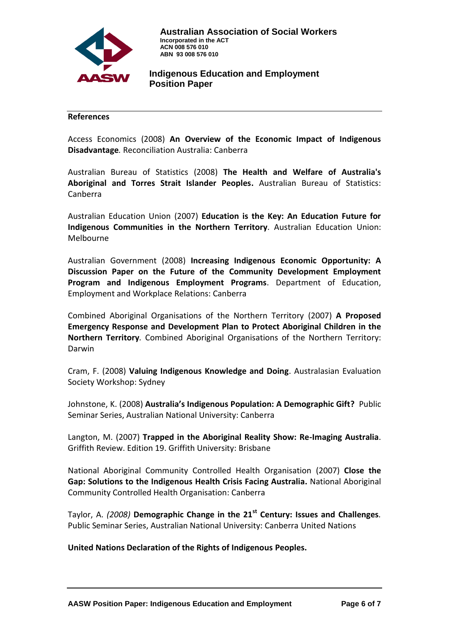

#### **References**

Access Economics (2008) **An Overview of the Economic Impact of Indigenous Disadvantage***.* Reconciliation Australia: Canberra

Australian Bureau of Statistics (2008) **The Health and Welfare of Australia's Aboriginal and Torres Strait Islander Peoples.** Australian Bureau of Statistics: Canberra

Australian Education Union (2007) **Education is the Key: An Education Future for Indigenous Communities in the Northern Territory***.* Australian Education Union: Melbourne

Australian Government (2008) **Increasing Indigenous Economic Opportunity: A Discussion Paper on the Future of the Community Development Employment Program and Indigenous Employment Programs**. Department of Education, Employment and Workplace Relations: Canberra

Combined Aboriginal Organisations of the Northern Territory (2007) **A Proposed Emergency Response and Development Plan to Protect Aboriginal Children in the Northern Territory***.* Combined Aboriginal Organisations of the Northern Territory: Darwin

Cram, F. (2008) **Valuing Indigenous Knowledge and Doing**. Australasian Evaluation Society Workshop: Sydney

Johnstone, K. (2008) **Australia's Indigenous Population: A Demographic Gift?** Public Seminar Series, Australian National University: Canberra

Langton, M. (2007) **Trapped in the Aboriginal Reality Show: Re-Imaging Australia**. Griffith Review. Edition 19. Griffith University: Brisbane

National Aboriginal Community Controlled Health Organisation (2007) **Close the Gap: Solutions to the Indigenous Health Crisis Facing Australia.** National Aboriginal Community Controlled Health Organisation: Canberra

Taylor, A. *(2008)* **Demographic Change in the 21st Century: Issues and Challenges***.* Public Seminar Series, Australian National University: Canberra United Nations

**United Nations Declaration of the Rights of Indigenous Peoples.**